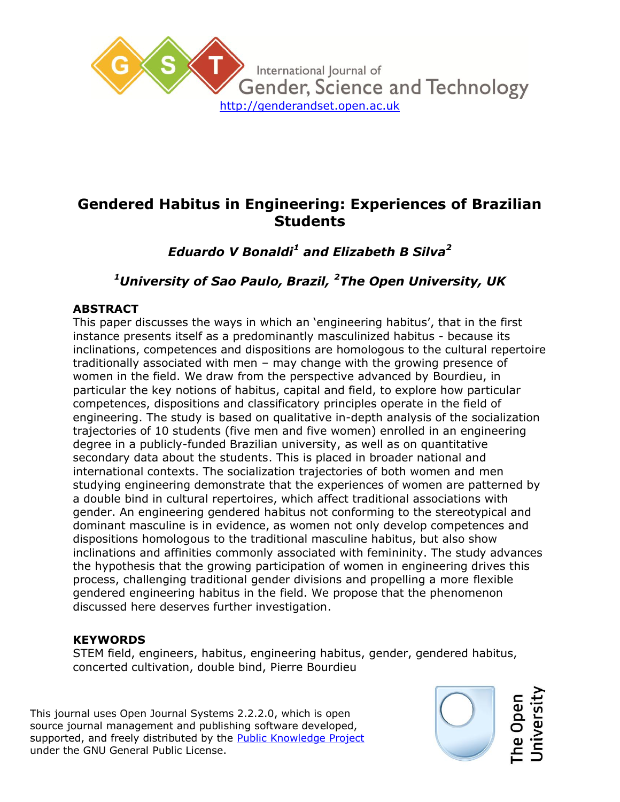

# **Gendered Habitus in Engineering: Experiences of Brazilian Students**

*Eduardo V Bonaldi<sup>1</sup> and Elizabeth B Silva<sup>2</sup>*

## *<sup>1</sup>University of Sao Paulo, Brazil, <sup>2</sup>The Open University, UK*

## **ABSTRACT**

This paper discusses the ways in which an 'engineering habitus', that in the first instance presents itself as a predominantly masculinized habitus - because its inclinations, competences and dispositions are homologous to the cultural repertoire traditionally associated with men – may change with the growing presence of women in the field. We draw from the perspective advanced by Bourdieu, in particular the key notions of habitus, capital and field, to explore how particular competences, dispositions and classificatory principles operate in the field of engineering. The study is based on qualitative in-depth analysis of the socialization trajectories of 10 students (five men and five women) enrolled in an engineering degree in a publicly-funded Brazilian university, as well as on quantitative secondary data about the students. This is placed in broader national and international contexts. The socialization trajectories of both women and men studying engineering demonstrate that the experiences of women are patterned by a double bind in cultural repertoires, which affect traditional associations with gender. An engineering gendered habitus not conforming to the stereotypical and dominant masculine is in evidence, as women not only develop competences and dispositions homologous to the traditional masculine habitus, but also show inclinations and affinities commonly associated with femininity. The study advances the hypothesis that the growing participation of women in engineering drives this process, challenging traditional gender divisions and propelling a more flexible gendered engineering habitus in the field. We propose that the phenomenon discussed here deserves further investigation.

## **KEYWORDS**

STEM field, engineers, habitus, engineering habitus, gender, gendered habitus, concerted cultivation, double bind, Pierre Bourdieu

This journal uses Open Journal Systems 2.2.2.0, which is open source journal management and publishing software developed, supported, and freely distributed by the **Public Knowledge Project** under the GNU General Public License.

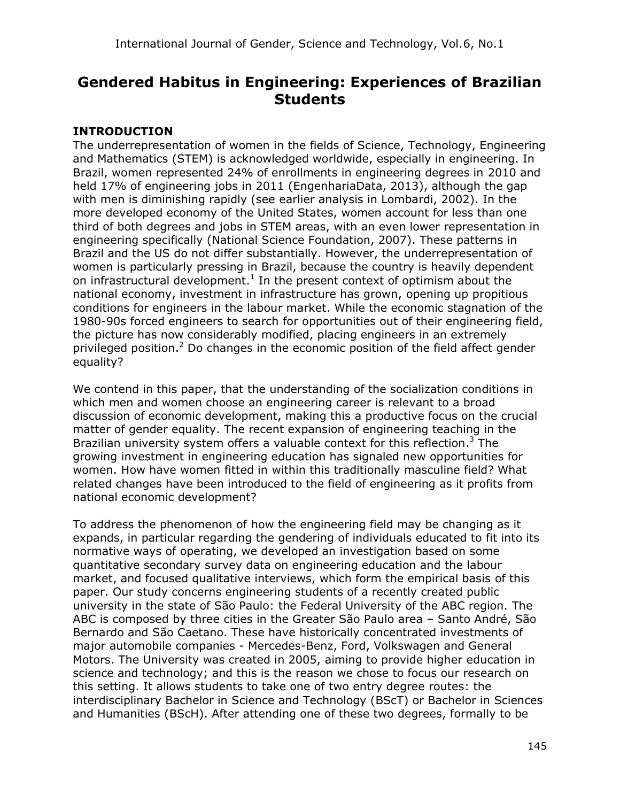# **Gendered Habitus in Engineering: Experiences of Brazilian Students**

## **INTRODUCTION**

The underrepresentation of women in the fields of Science, Technology, Engineering and Mathematics (STEM) is acknowledged worldwide, especially in engineering. In Brazil, women represented 24% of enrollments in engineering degrees in 2010 and held 17% of engineering jobs in 2011 (EngenhariaData, 2013), although the gap with men is diminishing rapidly (see earlier analysis in Lombardi, 2002). In the more developed economy of the United States, women account for less than one third of both degrees and jobs in STEM areas, with an even lower representation in engineering specifically (National Science Foundation, 2007). These patterns in Brazil and the US do not differ substantially. However, the underrepresentation of women is particularly pressing in Brazil, because the country is heavily dependent on infrastructural development.<sup>1</sup> In the present context of optimism about the national economy, investment in infrastructure has grown, opening up propitious conditions for engineers in the labour market. While the economic stagnation of the 1980-90s forced engineers to search for opportunities out of their engineering field, the picture has now considerably modified, placing engineers in an extremely privileged position.<sup>2</sup> Do changes in the economic position of the field affect gender equality?

We contend in this paper, that the understanding of the socialization conditions in which men and women choose an engineering career is relevant to a broad discussion of economic development, making this a productive focus on the crucial matter of gender equality. The recent expansion of engineering teaching in the Brazilian university system offers a valuable context for this reflection.<sup>3</sup> The growing investment in engineering education has signaled new opportunities for women. How have women fitted in within this traditionally masculine field? What related changes have been introduced to the field of engineering as it profits from national economic development?

To address the phenomenon of how the engineering field may be changing as it expands, in particular regarding the gendering of individuals educated to fit into its normative ways of operating, we developed an investigation based on some quantitative secondary survey data on engineering education and the labour market, and focused qualitative interviews, which form the empirical basis of this paper. Our study concerns engineering students of a recently created public university in the state of São Paulo: the Federal University of the ABC region. The ABC is composed by three cities in the Greater São Paulo area – Santo André, São Bernardo and São Caetano. These have historically concentrated investments of major automobile companies - Mercedes-Benz, Ford, Volkswagen and General Motors. The University was created in 2005, aiming to provide higher education in science and technology; and this is the reason we chose to focus our research on this setting. It allows students to take one of two entry degree routes: the interdisciplinary Bachelor in Science and Technology (BScT) or Bachelor in Sciences and Humanities (BScH). After attending one of these two degrees, formally to be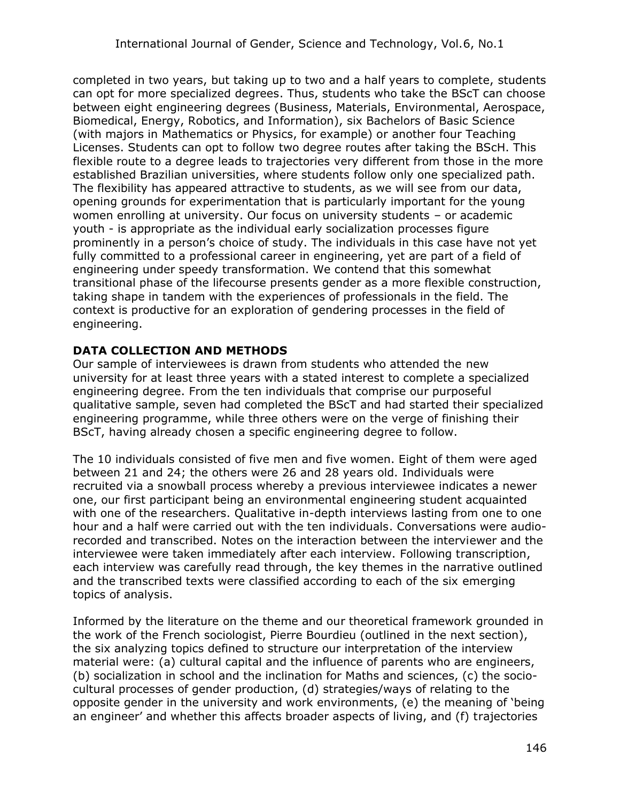completed in two years, but taking up to two and a half years to complete, students can opt for more specialized degrees. Thus, students who take the BScT can choose between eight engineering degrees (Business, Materials, Environmental, Aerospace, Biomedical, Energy, Robotics, and Information), six Bachelors of Basic Science (with majors in Mathematics or Physics, for example) or another four Teaching Licenses. Students can opt to follow two degree routes after taking the BScH. This flexible route to a degree leads to trajectories very different from those in the more established Brazilian universities, where students follow only one specialized path. The flexibility has appeared attractive to students, as we will see from our data, opening grounds for experimentation that is particularly important for the young women enrolling at university. Our focus on university students – or academic youth - is appropriate as the individual early socialization processes figure prominently in a person's choice of study. The individuals in this case have not yet fully committed to a professional career in engineering, yet are part of a field of engineering under speedy transformation. We contend that this somewhat transitional phase of the lifecourse presents gender as a more flexible construction, taking shape in tandem with the experiences of professionals in the field. The context is productive for an exploration of gendering processes in the field of engineering.

## **DATA COLLECTION AND METHODS**

Our sample of interviewees is drawn from students who attended the new university for at least three years with a stated interest to complete a specialized engineering degree. From the ten individuals that comprise our purposeful qualitative sample, seven had completed the BScT and had started their specialized engineering programme, while three others were on the verge of finishing their BScT, having already chosen a specific engineering degree to follow.

The 10 individuals consisted of five men and five women. Eight of them were aged between 21 and 24; the others were 26 and 28 years old. Individuals were recruited via a snowball process whereby a previous interviewee indicates a newer one, our first participant being an environmental engineering student acquainted with one of the researchers. Qualitative in-depth interviews lasting from one to one hour and a half were carried out with the ten individuals. Conversations were audiorecorded and transcribed. Notes on the interaction between the interviewer and the interviewee were taken immediately after each interview. Following transcription, each interview was carefully read through, the key themes in the narrative outlined and the transcribed texts were classified according to each of the six emerging topics of analysis.

Informed by the literature on the theme and our theoretical framework grounded in the work of the French sociologist, Pierre Bourdieu (outlined in the next section), the six analyzing topics defined to structure our interpretation of the interview material were: (a) cultural capital and the influence of parents who are engineers, (b) socialization in school and the inclination for Maths and sciences, (c) the sociocultural processes of gender production, (d) strategies/ways of relating to the opposite gender in the university and work environments, (e) the meaning of 'being an engineer' and whether this affects broader aspects of living, and (f) trajectories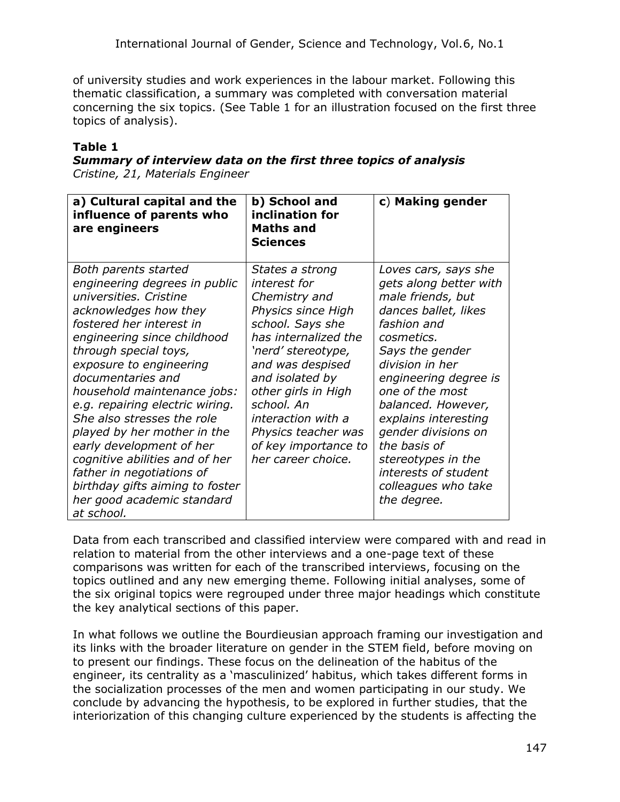of university studies and work experiences in the labour market. Following this thematic classification, a summary was completed with conversation material concerning the six topics. (See Table 1 for an illustration focused on the first three topics of analysis).

## **Table 1**

#### *Summary of interview data on the first three topics of analysis Cristine, 21, Materials Engineer*

| a) Cultural capital and the<br>influence of parents who<br>are engineers                                                                                                                                                                                                                                                                                                                                                                                                                                                                              | b) School and<br>inclination for<br><b>Maths and</b><br><b>Sciences</b>                                                                                                                                                                                                                                         | c) Making gender                                                                                                                                                                                                                                                                                                                                                                    |
|-------------------------------------------------------------------------------------------------------------------------------------------------------------------------------------------------------------------------------------------------------------------------------------------------------------------------------------------------------------------------------------------------------------------------------------------------------------------------------------------------------------------------------------------------------|-----------------------------------------------------------------------------------------------------------------------------------------------------------------------------------------------------------------------------------------------------------------------------------------------------------------|-------------------------------------------------------------------------------------------------------------------------------------------------------------------------------------------------------------------------------------------------------------------------------------------------------------------------------------------------------------------------------------|
| Both parents started<br>engineering degrees in public<br>universities. Cristine<br>acknowledges how they<br>fostered her interest in<br>engineering since childhood<br>through special toys,<br>exposure to engineering<br>documentaries and<br>household maintenance jobs:<br>e.g. repairing electric wiring.<br>She also stresses the role<br>played by her mother in the<br>early development of her<br>cognitive abilities and of her<br>father in negotiations of<br>birthday gifts aiming to foster<br>her good academic standard<br>at school. | States a strong<br>interest for<br>Chemistry and<br>Physics since High<br>school. Says she<br>has internalized the<br>'nerd' stereotype,<br>and was despised<br>and isolated by<br>other girls in High<br>school. An<br>interaction with a<br>Physics teacher was<br>of key importance to<br>her career choice. | Loves cars, says she<br>gets along better with<br>male friends, but<br>dances ballet, likes<br>fashion and<br>cosmetics.<br>Says the gender<br>division in her<br>engineering degree is<br>one of the most<br>balanced. However,<br>explains interesting<br>gender divisions on<br>the basis of<br>stereotypes in the<br>interests of student<br>colleagues who take<br>the degree. |

Data from each transcribed and classified interview were compared with and read in relation to material from the other interviews and a one-page text of these comparisons was written for each of the transcribed interviews, focusing on the topics outlined and any new emerging theme. Following initial analyses, some of the six original topics were regrouped under three major headings which constitute the key analytical sections of this paper.

In what follows we outline the Bourdieusian approach framing our investigation and its links with the broader literature on gender in the STEM field, before moving on to present our findings. These focus on the delineation of the habitus of the engineer, its centrality as a 'masculinized' habitus, which takes different forms in the socialization processes of the men and women participating in our study. We conclude by advancing the hypothesis, to be explored in further studies, that the interiorization of this changing culture experienced by the students is affecting the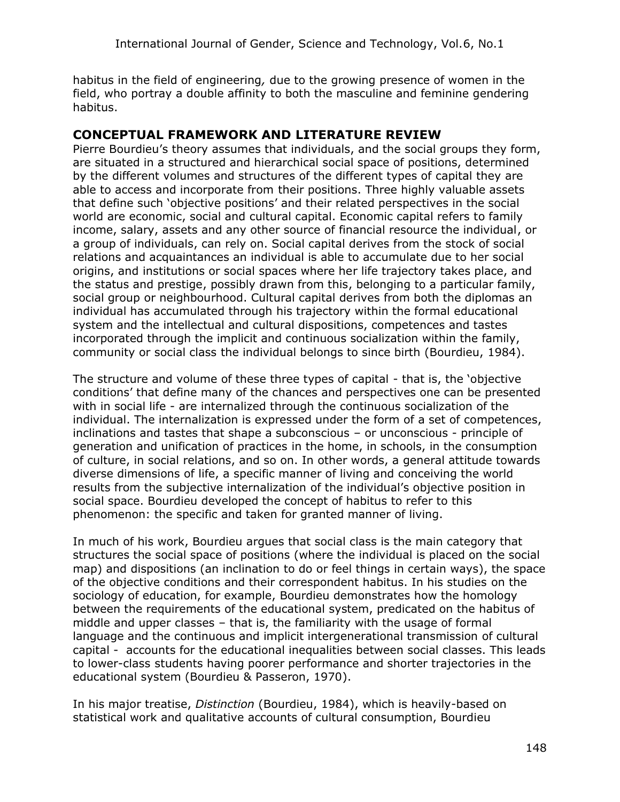habitus in the field of engineering*,* due to the growing presence of women in the field, who portray a double affinity to both the masculine and feminine gendering habitus.

## **CONCEPTUAL FRAMEWORK AND LITERATURE REVIEW**

Pierre Bourdieu's theory assumes that individuals, and the social groups they form, are situated in a structured and hierarchical social space of positions, determined by the different volumes and structures of the different types of capital they are able to access and incorporate from their positions. Three highly valuable assets that define such 'objective positions' and their related perspectives in the social world are economic, social and cultural capital. Economic capital refers to family income, salary, assets and any other source of financial resource the individual, or a group of individuals, can rely on. Social capital derives from the stock of social relations and acquaintances an individual is able to accumulate due to her social origins, and institutions or social spaces where her life trajectory takes place, and the status and prestige, possibly drawn from this, belonging to a particular family, social group or neighbourhood. Cultural capital derives from both the diplomas an individual has accumulated through his trajectory within the formal educational system and the intellectual and cultural dispositions, competences and tastes incorporated through the implicit and continuous socialization within the family, community or social class the individual belongs to since birth (Bourdieu, 1984).

The structure and volume of these three types of capital - that is, the 'objective conditions' that define many of the chances and perspectives one can be presented with in social life - are internalized through the continuous socialization of the individual. The internalization is expressed under the form of a set of competences, inclinations and tastes that shape a subconscious – or unconscious - principle of generation and unification of practices in the home, in schools, in the consumption of culture, in social relations, and so on. In other words, a general attitude towards diverse dimensions of life, a specific manner of living and conceiving the world results from the subjective internalization of the individual's objective position in social space. Bourdieu developed the concept of habitus to refer to this phenomenon: the specific and taken for granted manner of living.

In much of his work, Bourdieu argues that social class is the main category that structures the social space of positions (where the individual is placed on the social map) and dispositions (an inclination to do or feel things in certain ways), the space of the objective conditions and their correspondent habitus. In his studies on the sociology of education, for example, Bourdieu demonstrates how the homology between the requirements of the educational system, predicated on the habitus of middle and upper classes – that is, the familiarity with the usage of formal language and the continuous and implicit intergenerational transmission of cultural capital - accounts for the educational inequalities between social classes. This leads to lower-class students having poorer performance and shorter trajectories in the educational system (Bourdieu & Passeron, 1970).

In his major treatise, *Distinction* (Bourdieu, 1984), which is heavily-based on statistical work and qualitative accounts of cultural consumption, Bourdieu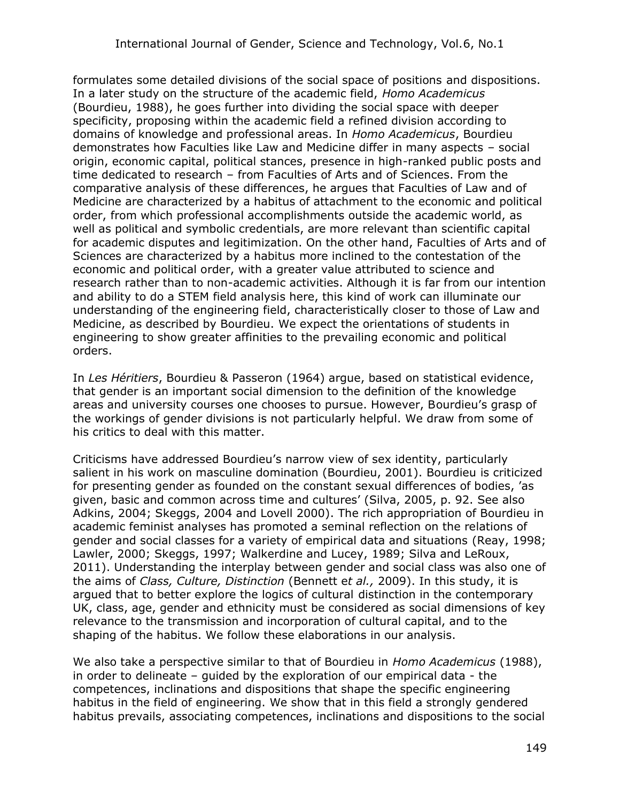formulates some detailed divisions of the social space of positions and dispositions. In a later study on the structure of the academic field, *Homo Academicus* (Bourdieu, 1988), he goes further into dividing the social space with deeper specificity, proposing within the academic field a refined division according to domains of knowledge and professional areas. In *Homo Academicus*, Bourdieu demonstrates how Faculties like Law and Medicine differ in many aspects – social origin, economic capital, political stances, presence in high-ranked public posts and time dedicated to research – from Faculties of Arts and of Sciences. From the comparative analysis of these differences, he argues that Faculties of Law and of Medicine are characterized by a habitus of attachment to the economic and political order, from which professional accomplishments outside the academic world, as well as political and symbolic credentials, are more relevant than scientific capital for academic disputes and legitimization. On the other hand, Faculties of Arts and of Sciences are characterized by a habitus more inclined to the contestation of the economic and political order, with a greater value attributed to science and research rather than to non-academic activities. Although it is far from our intention and ability to do a STEM field analysis here, this kind of work can illuminate our understanding of the engineering field, characteristically closer to those of Law and Medicine, as described by Bourdieu. We expect the orientations of students in engineering to show greater affinities to the prevailing economic and political orders.

In *Les Héritiers*, Bourdieu & Passeron (1964) argue, based on statistical evidence, that gender is an important social dimension to the definition of the knowledge areas and university courses one chooses to pursue. However, Bourdieu's grasp of the workings of gender divisions is not particularly helpful. We draw from some of his critics to deal with this matter.

Criticisms have addressed Bourdieu's narrow view of sex identity, particularly salient in his work on masculine domination (Bourdieu, 2001). Bourdieu is criticized for presenting gender as founded on the constant sexual differences of bodies, 'as given, basic and common across time and cultures' (Silva, 2005, p. 92. See also Adkins, 2004; Skeggs, 2004 and Lovell 2000). The rich appropriation of Bourdieu in academic feminist analyses has promoted a seminal reflection on the relations of gender and social classes for a variety of empirical data and situations (Reay, 1998; Lawler, 2000; Skeggs, 1997; Walkerdine and Lucey, 1989; Silva and LeRoux, 2011). Understanding the interplay between gender and social class was also one of the aims of *Class, Culture, Distinction* (Bennett e*t al.,* 2009). In this study, it is argued that to better explore the logics of cultural distinction in the contemporary UK, class, age, gender and ethnicity must be considered as social dimensions of key relevance to the transmission and incorporation of cultural capital, and to the shaping of the habitus. We follow these elaborations in our analysis.

We also take a perspective similar to that of Bourdieu in *Homo Academicus* (1988), in order to delineate – guided by the exploration of our empirical data - the competences, inclinations and dispositions that shape the specific engineering habitus in the field of engineering. We show that in this field a strongly gendered habitus prevails, associating competences, inclinations and dispositions to the social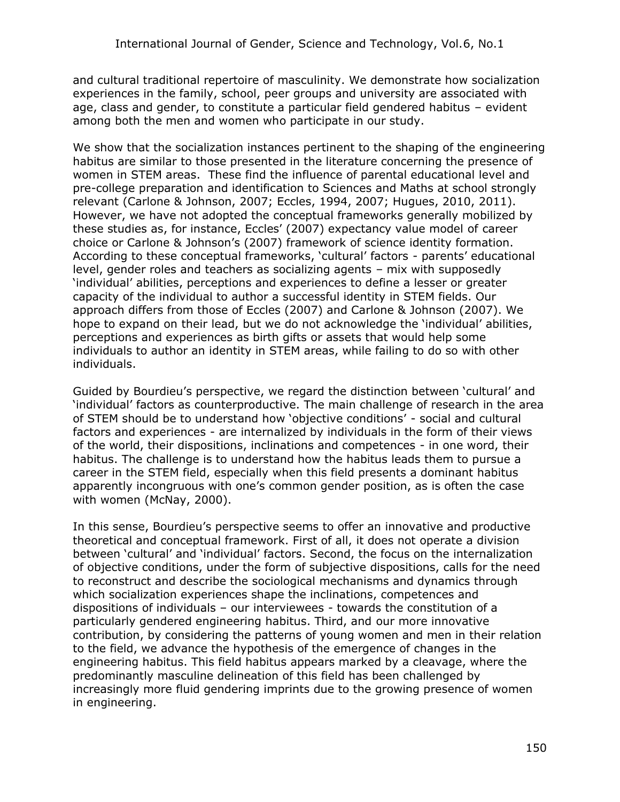and cultural traditional repertoire of masculinity. We demonstrate how socialization experiences in the family, school, peer groups and university are associated with age, class and gender, to constitute a particular field gendered habitus – evident among both the men and women who participate in our study.

We show that the socialization instances pertinent to the shaping of the engineering habitus are similar to those presented in the literature concerning the presence of women in STEM areas. These find the influence of parental educational level and pre-college preparation and identification to Sciences and Maths at school strongly relevant (Carlone & Johnson, 2007; Eccles, 1994, 2007; Hugues, 2010, 2011). However, we have not adopted the conceptual frameworks generally mobilized by these studies as, for instance, Eccles' (2007) expectancy value model of career choice or Carlone & Johnson's (2007) framework of science identity formation. According to these conceptual frameworks, 'cultural' factors - parents' educational level, gender roles and teachers as socializing agents – mix with supposedly 'individual' abilities, perceptions and experiences to define a lesser or greater capacity of the individual to author a successful identity in STEM fields. Our approach differs from those of Eccles (2007) and Carlone & Johnson (2007). We hope to expand on their lead, but we do not acknowledge the 'individual' abilities, perceptions and experiences as birth gifts or assets that would help some individuals to author an identity in STEM areas, while failing to do so with other individuals.

Guided by Bourdieu's perspective, we regard the distinction between 'cultural' and 'individual' factors as counterproductive. The main challenge of research in the area of STEM should be to understand how 'objective conditions' - social and cultural factors and experiences - are internalized by individuals in the form of their views of the world, their dispositions, inclinations and competences - in one word, their habitus. The challenge is to understand how the habitus leads them to pursue a career in the STEM field, especially when this field presents a dominant habitus apparently incongruous with one's common gender position, as is often the case with women (McNay, 2000).

In this sense, Bourdieu's perspective seems to offer an innovative and productive theoretical and conceptual framework. First of all, it does not operate a division between 'cultural' and 'individual' factors. Second, the focus on the internalization of objective conditions, under the form of subjective dispositions, calls for the need to reconstruct and describe the sociological mechanisms and dynamics through which socialization experiences shape the inclinations, competences and dispositions of individuals – our interviewees - towards the constitution of a particularly gendered engineering habitus. Third, and our more innovative contribution, by considering the patterns of young women and men in their relation to the field, we advance the hypothesis of the emergence of changes in the engineering habitus. This field habitus appears marked by a cleavage, where the predominantly masculine delineation of this field has been challenged by increasingly more fluid gendering imprints due to the growing presence of women in engineering.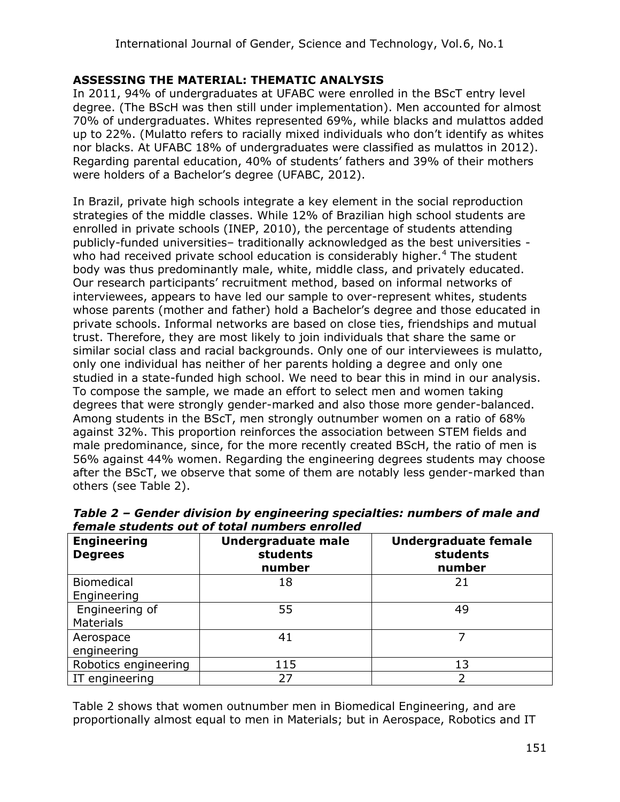## **ASSESSING THE MATERIAL: THEMATIC ANALYSIS**

In 2011, 94% of undergraduates at UFABC were enrolled in the BScT entry level degree. (The BScH was then still under implementation). Men accounted for almost 70% of undergraduates. Whites represented 69%, while blacks and mulattos added up to 22%. (Mulatto refers to racially mixed individuals who don't identify as whites nor blacks. At UFABC 18% of undergraduates were classified as mulattos in 2012). Regarding parental education, 40% of students' fathers and 39% of their mothers were holders of a Bachelor's degree (UFABC, 2012).

In Brazil, private high schools integrate a key element in the social reproduction strategies of the middle classes. While 12% of Brazilian high school students are enrolled in private schools (INEP, 2010), the percentage of students attending publicly-funded universities– traditionally acknowledged as the best universities who had received private school education is considerably higher.<sup>4</sup> The student body was thus predominantly male, white, middle class, and privately educated. Our research participants' recruitment method, based on informal networks of interviewees, appears to have led our sample to over-represent whites, students whose parents (mother and father) hold a Bachelor's degree and those educated in private schools. Informal networks are based on close ties, friendships and mutual trust. Therefore, they are most likely to join individuals that share the same or similar social class and racial backgrounds. Only one of our interviewees is mulatto, only one individual has neither of her parents holding a degree and only one studied in a state-funded high school. We need to bear this in mind in our analysis. To compose the sample, we made an effort to select men and women taking degrees that were strongly gender-marked and also those more gender-balanced. Among students in the BScT, men strongly outnumber women on a ratio of 68% against 32%. This proportion reinforces the association between STEM fields and male predominance, since, for the more recently created BScH, the ratio of men is 56% against 44% women. Regarding the engineering degrees students may choose after the BScT, we observe that some of them are notably less gender-marked than others (see Table 2).

| remare students out or total numbers em oneu |                                                 |                                                   |  |  |
|----------------------------------------------|-------------------------------------------------|---------------------------------------------------|--|--|
| <b>Engineering</b><br><b>Degrees</b>         | <b>Undergraduate male</b><br>students<br>number | <b>Undergraduate female</b><br>students<br>number |  |  |
| <b>Biomedical</b>                            | 18                                              | 21                                                |  |  |
| Engineering                                  |                                                 |                                                   |  |  |
| Engineering of<br><b>Materials</b>           | 55                                              | 49                                                |  |  |
| Aerospace                                    | 41                                              |                                                   |  |  |
| engineering                                  |                                                 |                                                   |  |  |
| Robotics engineering                         | 115                                             | 13                                                |  |  |
| IT engineering                               | 27                                              |                                                   |  |  |

*Table 2 – Gender division by engineering specialties: numbers of male and female students out of total numbers enrolled* 

Table 2 shows that women outnumber men in Biomedical Engineering, and are proportionally almost equal to men in Materials; but in Aerospace, Robotics and IT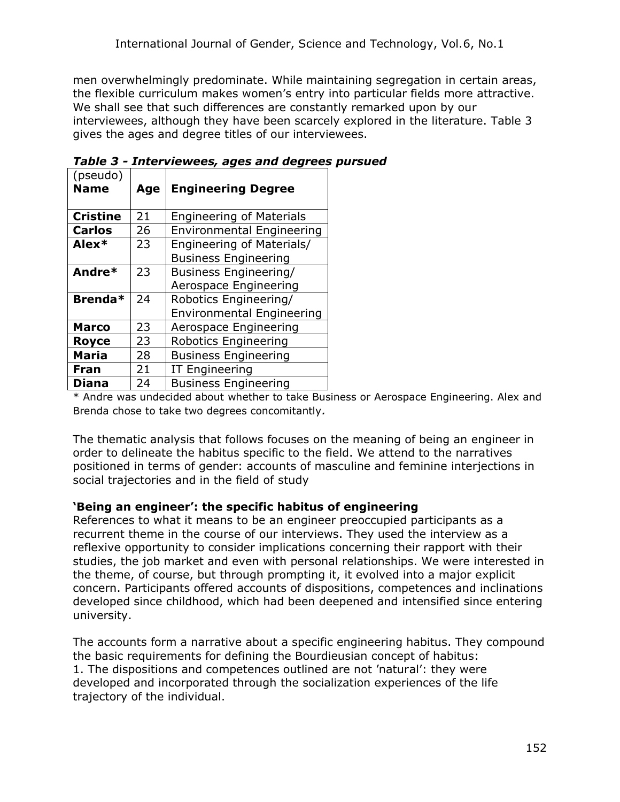men overwhelmingly predominate. While maintaining segregation in certain areas, the flexible curriculum makes women's entry into particular fields more attractive. We shall see that such differences are constantly remarked upon by our interviewees, although they have been scarcely explored in the literature. Table 3 gives the ages and degree titles of our interviewees.

| (pseudo)<br><b>Name</b> | Age | <b>Engineering Degree</b>                                 |
|-------------------------|-----|-----------------------------------------------------------|
| <b>Cristine</b>         | 21  | <b>Engineering of Materials</b>                           |
| <b>Carlos</b>           | 26  | <b>Environmental Engineering</b>                          |
| Alex*                   | 23  | Engineering of Materials/<br><b>Business Engineering</b>  |
| Andre*                  | 23  | Business Engineering/<br>Aerospace Engineering            |
| Brenda*                 | 24  | Robotics Engineering/<br><b>Environmental Engineering</b> |
| <b>Marco</b>            | 23  | Aerospace Engineering                                     |
| <b>Royce</b>            | 23  | Robotics Engineering                                      |
| <b>Maria</b>            | 28  | <b>Business Engineering</b>                               |
| <b>Fran</b>             | 21  | <b>IT Engineering</b>                                     |
| <b>Diana</b>            | 24  | <b>Business Engineering</b>                               |

*Table 3 - Interviewees, ages and degrees pursued*

\* Andre was undecided about whether to take Business or Aerospace Engineering. Alex and Brenda chose to take two degrees concomitantly*.*

The thematic analysis that follows focuses on the meaning of being an engineer in order to delineate the habitus specific to the field. We attend to the narratives positioned in terms of gender: accounts of masculine and feminine interjections in social trajectories and in the field of study

#### **'Being an engineer': the specific habitus of engineering**

References to what it means to be an engineer preoccupied participants as a recurrent theme in the course of our interviews. They used the interview as a reflexive opportunity to consider implications concerning their rapport with their studies, the job market and even with personal relationships. We were interested in the theme, of course, but through prompting it, it evolved into a major explicit concern. Participants offered accounts of dispositions, competences and inclinations developed since childhood, which had been deepened and intensified since entering university.

The accounts form a narrative about a specific engineering habitus. They compound the basic requirements for defining the Bourdieusian concept of habitus: 1. The dispositions and competences outlined are not 'natural': they were developed and incorporated through the socialization experiences of the life trajectory of the individual.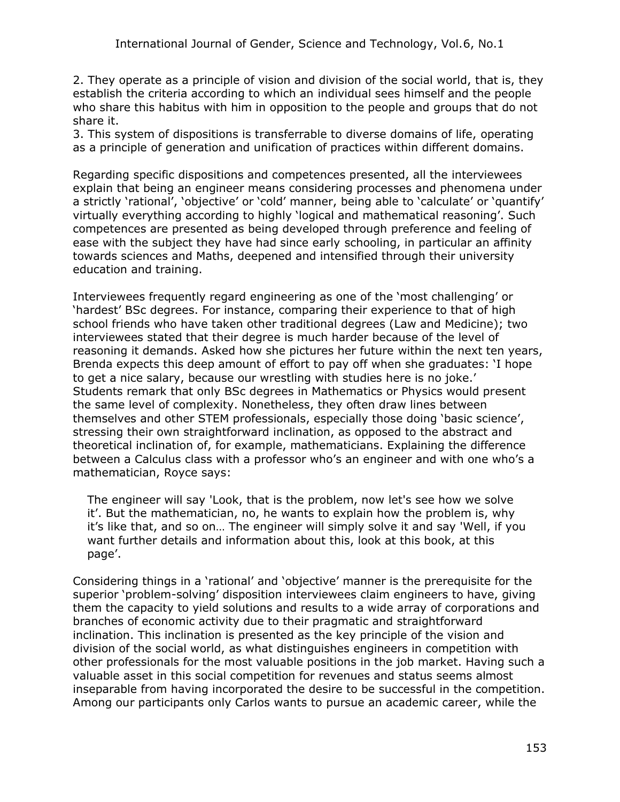2. They operate as a principle of vision and division of the social world, that is, they establish the criteria according to which an individual sees himself and the people who share this habitus with him in opposition to the people and groups that do not share it.

3. This system of dispositions is transferrable to diverse domains of life, operating as a principle of generation and unification of practices within different domains.

Regarding specific dispositions and competences presented, all the interviewees explain that being an engineer means considering processes and phenomena under a strictly 'rational', 'objective' or 'cold' manner, being able to 'calculate' or 'quantify' virtually everything according to highly 'logical and mathematical reasoning'. Such competences are presented as being developed through preference and feeling of ease with the subject they have had since early schooling, in particular an affinity towards sciences and Maths, deepened and intensified through their university education and training.

Interviewees frequently regard engineering as one of the 'most challenging' or 'hardest' BSc degrees. For instance, comparing their experience to that of high school friends who have taken other traditional degrees (Law and Medicine); two interviewees stated that their degree is much harder because of the level of reasoning it demands. Asked how she pictures her future within the next ten years, Brenda expects this deep amount of effort to pay off when she graduates: 'I hope to get a nice salary, because our wrestling with studies here is no joke.' Students remark that only BSc degrees in Mathematics or Physics would present the same level of complexity. Nonetheless, they often draw lines between themselves and other STEM professionals, especially those doing 'basic science', stressing their own straightforward inclination, as opposed to the abstract and theoretical inclination of, for example, mathematicians. Explaining the difference between a Calculus class with a professor who's an engineer and with one who's a mathematician, Royce says:

The engineer will say 'Look, that is the problem, now let's see how we solve it'. But the mathematician, no, he wants to explain how the problem is, why it's like that, and so on… The engineer will simply solve it and say 'Well, if you want further details and information about this, look at this book, at this page'.

Considering things in a 'rational' and 'objective' manner is the prerequisite for the superior 'problem-solving' disposition interviewees claim engineers to have, giving them the capacity to yield solutions and results to a wide array of corporations and branches of economic activity due to their pragmatic and straightforward inclination. This inclination is presented as the key principle of the vision and division of the social world, as what distinguishes engineers in competition with other professionals for the most valuable positions in the job market. Having such a valuable asset in this social competition for revenues and status seems almost inseparable from having incorporated the desire to be successful in the competition. Among our participants only Carlos wants to pursue an academic career, while the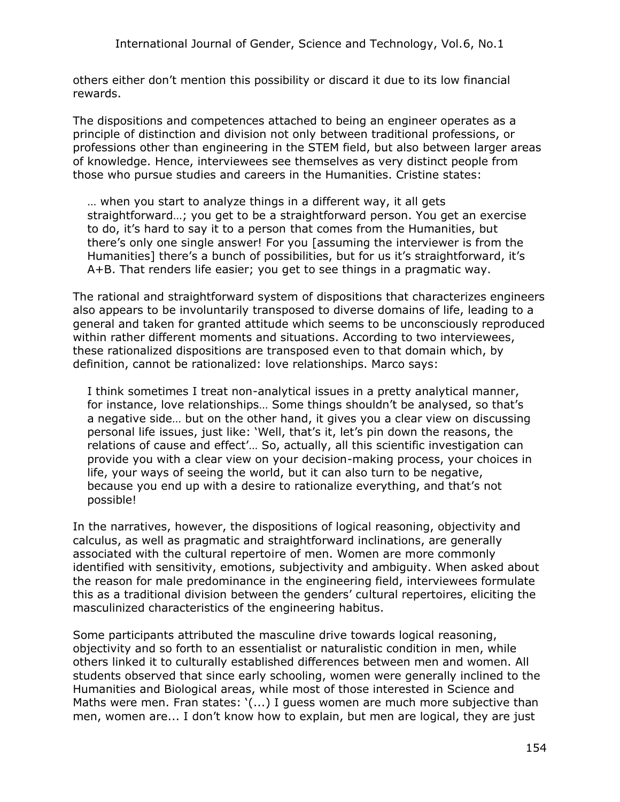others either don't mention this possibility or discard it due to its low financial rewards.

The dispositions and competences attached to being an engineer operates as a principle of distinction and division not only between traditional professions, or professions other than engineering in the STEM field, but also between larger areas of knowledge. Hence, interviewees see themselves as very distinct people from those who pursue studies and careers in the Humanities. Cristine states:

… when you start to analyze things in a different way, it all gets straightforward…; you get to be a straightforward person. You get an exercise to do, it's hard to say it to a person that comes from the Humanities, but there's only one single answer! For you [assuming the interviewer is from the Humanities] there's a bunch of possibilities, but for us it's straightforward, it's A+B. That renders life easier; you get to see things in a pragmatic way.

The rational and straightforward system of dispositions that characterizes engineers also appears to be involuntarily transposed to diverse domains of life, leading to a general and taken for granted attitude which seems to be unconsciously reproduced within rather different moments and situations. According to two interviewees, these rationalized dispositions are transposed even to that domain which, by definition, cannot be rationalized: love relationships. Marco says:

I think sometimes I treat non-analytical issues in a pretty analytical manner, for instance, love relationships… Some things shouldn't be analysed, so that's a negative side… but on the other hand, it gives you a clear view on discussing personal life issues, just like: 'Well, that's it, let's pin down the reasons, the relations of cause and effect'… So, actually, all this scientific investigation can provide you with a clear view on your decision-making process, your choices in life, your ways of seeing the world, but it can also turn to be negative, because you end up with a desire to rationalize everything, and that's not possible!

In the narratives, however, the dispositions of logical reasoning, objectivity and calculus, as well as pragmatic and straightforward inclinations, are generally associated with the cultural repertoire of men. Women are more commonly identified with sensitivity, emotions, subjectivity and ambiguity. When asked about the reason for male predominance in the engineering field, interviewees formulate this as a traditional division between the genders' cultural repertoires, eliciting the masculinized characteristics of the engineering habitus.

Some participants attributed the masculine drive towards logical reasoning, objectivity and so forth to an essentialist or naturalistic condition in men, while others linked it to culturally established differences between men and women. All students observed that since early schooling, women were generally inclined to the Humanities and Biological areas, while most of those interested in Science and Maths were men. Fran states: '(...) I guess women are much more subjective than men, women are... I don't know how to explain, but men are logical, they are just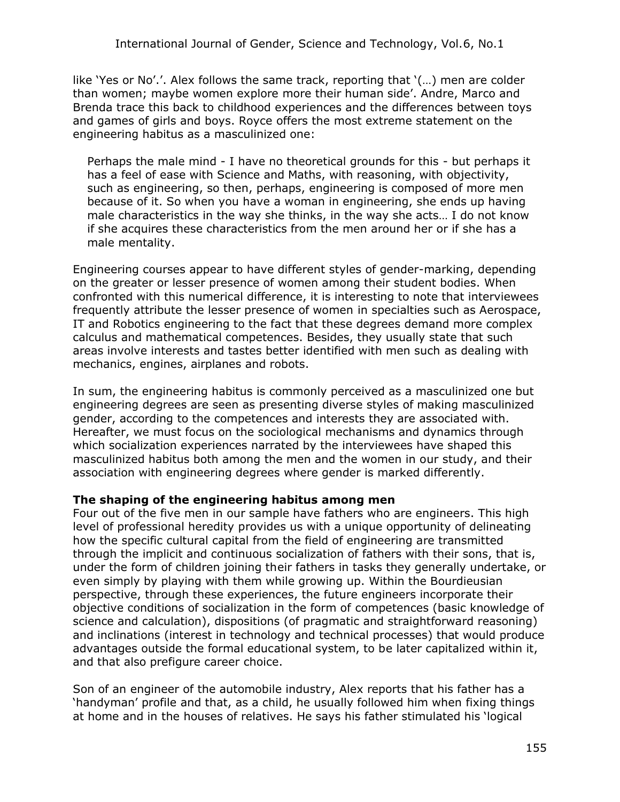like 'Yes or No'.'. Alex follows the same track, reporting that '(…) men are colder than women; maybe women explore more their human side'. Andre, Marco and Brenda trace this back to childhood experiences and the differences between toys and games of girls and boys. Royce offers the most extreme statement on the engineering habitus as a masculinized one:

Perhaps the male mind - I have no theoretical grounds for this - but perhaps it has a feel of ease with Science and Maths, with reasoning, with objectivity, such as engineering, so then, perhaps, engineering is composed of more men because of it. So when you have a woman in engineering, she ends up having male characteristics in the way she thinks, in the way she acts… I do not know if she acquires these characteristics from the men around her or if she has a male mentality.

Engineering courses appear to have different styles of gender-marking, depending on the greater or lesser presence of women among their student bodies. When confronted with this numerical difference, it is interesting to note that interviewees frequently attribute the lesser presence of women in specialties such as Aerospace, IT and Robotics engineering to the fact that these degrees demand more complex calculus and mathematical competences. Besides, they usually state that such areas involve interests and tastes better identified with men such as dealing with mechanics, engines, airplanes and robots.

In sum, the engineering habitus is commonly perceived as a masculinized one but engineering degrees are seen as presenting diverse styles of making masculinized gender, according to the competences and interests they are associated with. Hereafter, we must focus on the sociological mechanisms and dynamics through which socialization experiences narrated by the interviewees have shaped this masculinized habitus both among the men and the women in our study, and their association with engineering degrees where gender is marked differently.

#### **The shaping of the engineering habitus among men**

Four out of the five men in our sample have fathers who are engineers. This high level of professional heredity provides us with a unique opportunity of delineating how the specific cultural capital from the field of engineering are transmitted through the implicit and continuous socialization of fathers with their sons, that is, under the form of children joining their fathers in tasks they generally undertake, or even simply by playing with them while growing up. Within the Bourdieusian perspective, through these experiences, the future engineers incorporate their objective conditions of socialization in the form of competences (basic knowledge of science and calculation), dispositions (of pragmatic and straightforward reasoning) and inclinations (interest in technology and technical processes) that would produce advantages outside the formal educational system, to be later capitalized within it, and that also prefigure career choice.

Son of an engineer of the automobile industry, Alex reports that his father has a 'handyman' profile and that, as a child, he usually followed him when fixing things at home and in the houses of relatives. He says his father stimulated his 'logical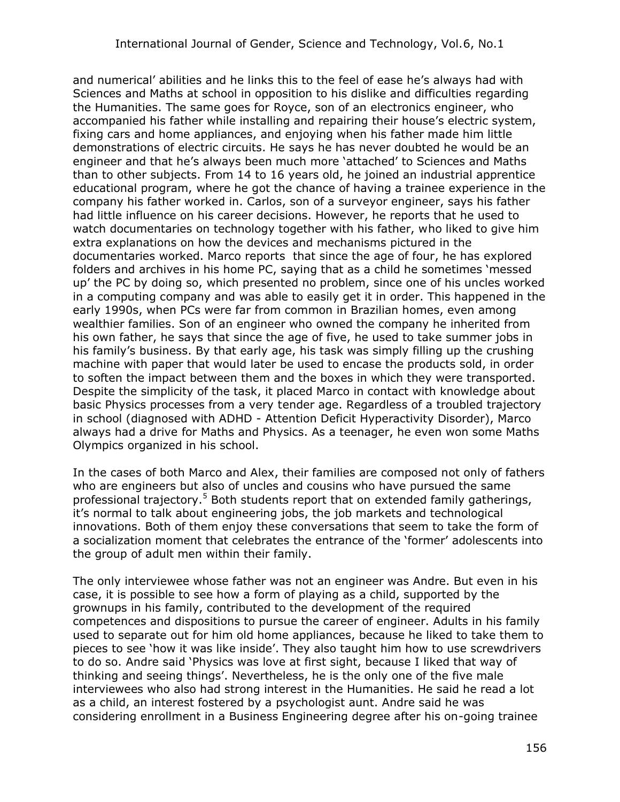and numerical' abilities and he links this to the feel of ease he's always had with Sciences and Maths at school in opposition to his dislike and difficulties regarding the Humanities. The same goes for Royce, son of an electronics engineer, who accompanied his father while installing and repairing their house's electric system, fixing cars and home appliances, and enjoying when his father made him little demonstrations of electric circuits. He says he has never doubted he would be an engineer and that he's always been much more 'attached' to Sciences and Maths than to other subjects. From 14 to 16 years old, he joined an industrial apprentice educational program, where he got the chance of having a trainee experience in the company his father worked in. Carlos, son of a surveyor engineer, says his father had little influence on his career decisions. However, he reports that he used to watch documentaries on technology together with his father, who liked to give him extra explanations on how the devices and mechanisms pictured in the documentaries worked. Marco reports that since the age of four, he has explored folders and archives in his home PC, saying that as a child he sometimes 'messed up' the PC by doing so, which presented no problem, since one of his uncles worked in a computing company and was able to easily get it in order. This happened in the early 1990s, when PCs were far from common in Brazilian homes, even among wealthier families. Son of an engineer who owned the company he inherited from his own father, he says that since the age of five, he used to take summer jobs in his family's business. By that early age, his task was simply filling up the crushing machine with paper that would later be used to encase the products sold, in order to soften the impact between them and the boxes in which they were transported. Despite the simplicity of the task, it placed Marco in contact with knowledge about basic Physics processes from a very tender age. Regardless of a troubled trajectory in school (diagnosed with ADHD - Attention Deficit Hyperactivity Disorder), Marco always had a drive for Maths and Physics. As a teenager, he even won some Maths Olympics organized in his school.

In the cases of both Marco and Alex, their families are composed not only of fathers who are engineers but also of uncles and cousins who have pursued the same professional trajectory.<sup>5</sup> Both students report that on extended family gatherings, it's normal to talk about engineering jobs, the job markets and technological innovations. Both of them enjoy these conversations that seem to take the form of a socialization moment that celebrates the entrance of the 'former' adolescents into the group of adult men within their family.

The only interviewee whose father was not an engineer was Andre. But even in his case, it is possible to see how a form of playing as a child, supported by the grownups in his family, contributed to the development of the required competences and dispositions to pursue the career of engineer. Adults in his family used to separate out for him old home appliances, because he liked to take them to pieces to see 'how it was like inside'. They also taught him how to use screwdrivers to do so. Andre said 'Physics was love at first sight, because I liked that way of thinking and seeing things'. Nevertheless, he is the only one of the five male interviewees who also had strong interest in the Humanities. He said he read a lot as a child, an interest fostered by a psychologist aunt. Andre said he was considering enrollment in a Business Engineering degree after his on-going trainee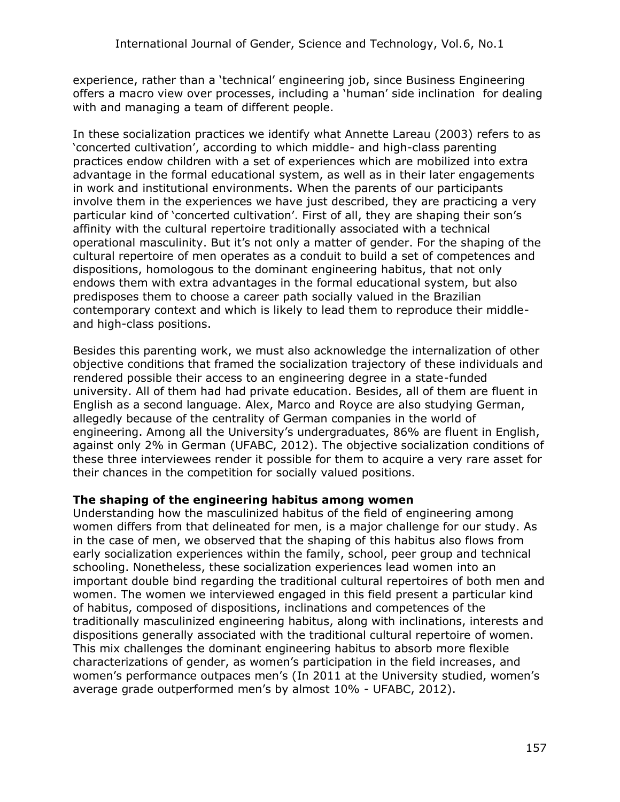experience, rather than a 'technical' engineering job, since Business Engineering offers a macro view over processes, including a 'human' side inclination for dealing with and managing a team of different people.

In these socialization practices we identify what Annette Lareau (2003) refers to as 'concerted cultivation', according to which middle- and high-class parenting practices endow children with a set of experiences which are mobilized into extra advantage in the formal educational system, as well as in their later engagements in work and institutional environments. When the parents of our participants involve them in the experiences we have just described, they are practicing a very particular kind of 'concerted cultivation'. First of all, they are shaping their son's affinity with the cultural repertoire traditionally associated with a technical operational masculinity. But it's not only a matter of gender. For the shaping of the cultural repertoire of men operates as a conduit to build a set of competences and dispositions, homologous to the dominant engineering habitus, that not only endows them with extra advantages in the formal educational system, but also predisposes them to choose a career path socially valued in the Brazilian contemporary context and which is likely to lead them to reproduce their middleand high-class positions.

Besides this parenting work, we must also acknowledge the internalization of other objective conditions that framed the socialization trajectory of these individuals and rendered possible their access to an engineering degree in a state-funded university. All of them had had private education. Besides, all of them are fluent in English as a second language. Alex, Marco and Royce are also studying German, allegedly because of the centrality of German companies in the world of engineering. Among all the University's undergraduates, 86% are fluent in English, against only 2% in German (UFABC, 2012). The objective socialization conditions of these three interviewees render it possible for them to acquire a very rare asset for their chances in the competition for socially valued positions.

#### **The shaping of the engineering habitus among women**

Understanding how the masculinized habitus of the field of engineering among women differs from that delineated for men, is a major challenge for our study. As in the case of men, we observed that the shaping of this habitus also flows from early socialization experiences within the family, school, peer group and technical schooling. Nonetheless, these socialization experiences lead women into an important double bind regarding the traditional cultural repertoires of both men and women. The women we interviewed engaged in this field present a particular kind of habitus, composed of dispositions, inclinations and competences of the traditionally masculinized engineering habitus, along with inclinations, interests and dispositions generally associated with the traditional cultural repertoire of women. This mix challenges the dominant engineering habitus to absorb more flexible characterizations of gender, as women's participation in the field increases, and women's performance outpaces men's (In 2011 at the University studied, women's average grade outperformed men's by almost 10% - UFABC, 2012).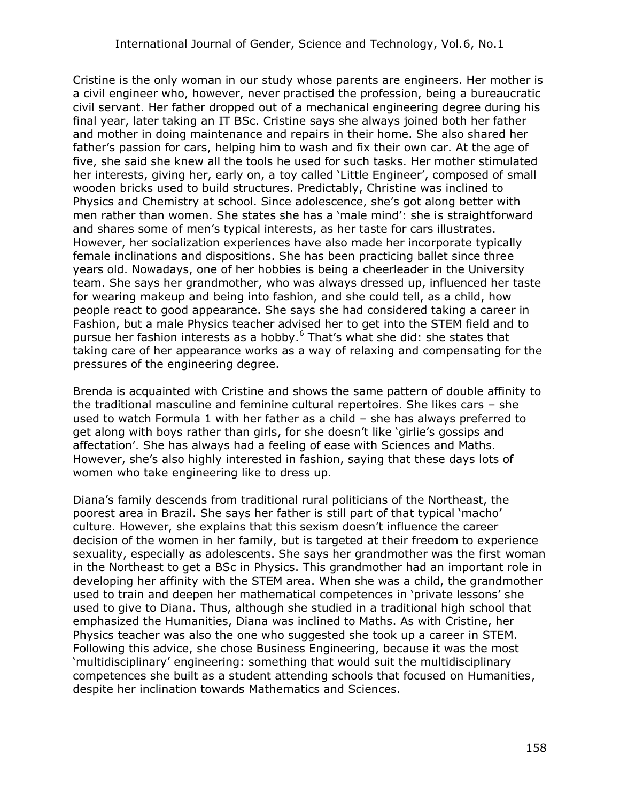Cristine is the only woman in our study whose parents are engineers. Her mother is a civil engineer who, however, never practised the profession, being a bureaucratic civil servant. Her father dropped out of a mechanical engineering degree during his final year, later taking an IT BSc. Cristine says she always joined both her father and mother in doing maintenance and repairs in their home. She also shared her father's passion for cars, helping him to wash and fix their own car. At the age of five, she said she knew all the tools he used for such tasks. Her mother stimulated her interests, giving her, early on, a toy called 'Little Engineer', composed of small wooden bricks used to build structures. Predictably, Christine was inclined to Physics and Chemistry at school. Since adolescence, she's got along better with men rather than women. She states she has a 'male mind': she is straightforward and shares some of men's typical interests, as her taste for cars illustrates. However, her socialization experiences have also made her incorporate typically female inclinations and dispositions. She has been practicing ballet since three years old. Nowadays, one of her hobbies is being a cheerleader in the University team. She says her grandmother, who was always dressed up, influenced her taste for wearing makeup and being into fashion, and she could tell, as a child, how people react to good appearance. She says she had considered taking a career in Fashion, but a male Physics teacher advised her to get into the STEM field and to pursue her fashion interests as a hobby.<sup>6</sup> That's what she did: she states that taking care of her appearance works as a way of relaxing and compensating for the pressures of the engineering degree.

Brenda is acquainted with Cristine and shows the same pattern of double affinity to the traditional masculine and feminine cultural repertoires. She likes cars – she used to watch Formula 1 with her father as a child – she has always preferred to get along with boys rather than girls, for she doesn't like 'girlie's gossips and affectation'. She has always had a feeling of ease with Sciences and Maths. However, she's also highly interested in fashion, saying that these days lots of women who take engineering like to dress up.

Diana's family descends from traditional rural politicians of the Northeast, the poorest area in Brazil. She says her father is still part of that typical 'macho' culture. However, she explains that this sexism doesn't influence the career decision of the women in her family, but is targeted at their freedom to experience sexuality, especially as adolescents. She says her grandmother was the first woman in the Northeast to get a BSc in Physics. This grandmother had an important role in developing her affinity with the STEM area. When she was a child, the grandmother used to train and deepen her mathematical competences in 'private lessons' she used to give to Diana. Thus, although she studied in a traditional high school that emphasized the Humanities, Diana was inclined to Maths. As with Cristine, her Physics teacher was also the one who suggested she took up a career in STEM. Following this advice, she chose Business Engineering, because it was the most 'multidisciplinary' engineering: something that would suit the multidisciplinary competences she built as a student attending schools that focused on Humanities, despite her inclination towards Mathematics and Sciences.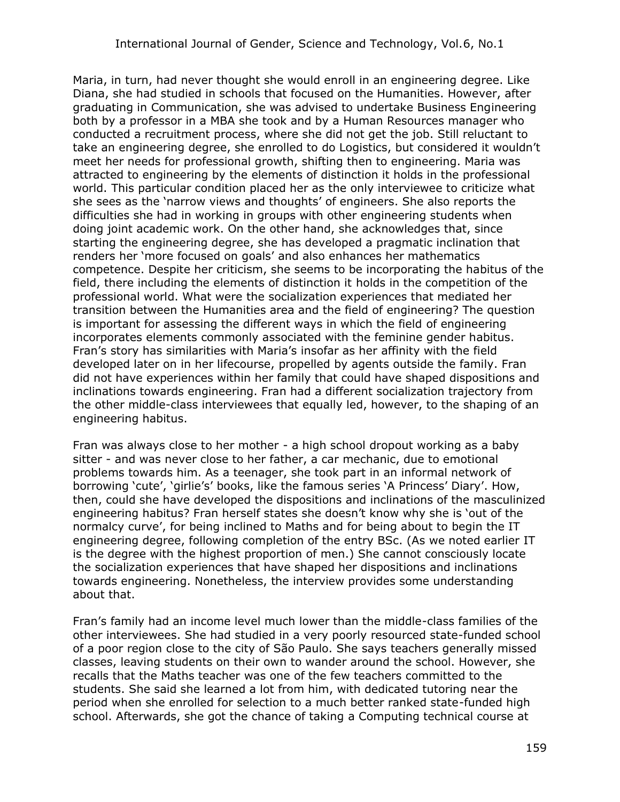Maria, in turn, had never thought she would enroll in an engineering degree. Like Diana, she had studied in schools that focused on the Humanities. However, after graduating in Communication, she was advised to undertake Business Engineering both by a professor in a MBA she took and by a Human Resources manager who conducted a recruitment process, where she did not get the job. Still reluctant to take an engineering degree, she enrolled to do Logistics, but considered it wouldn't meet her needs for professional growth, shifting then to engineering. Maria was attracted to engineering by the elements of distinction it holds in the professional world. This particular condition placed her as the only interviewee to criticize what she sees as the 'narrow views and thoughts' of engineers. She also reports the difficulties she had in working in groups with other engineering students when doing joint academic work. On the other hand, she acknowledges that, since starting the engineering degree, she has developed a pragmatic inclination that renders her 'more focused on goals' and also enhances her mathematics competence. Despite her criticism, she seems to be incorporating the habitus of the field, there including the elements of distinction it holds in the competition of the professional world. What were the socialization experiences that mediated her transition between the Humanities area and the field of engineering? The question is important for assessing the different ways in which the field of engineering incorporates elements commonly associated with the feminine gender habitus. Fran's story has similarities with Maria's insofar as her affinity with the field developed later on in her lifecourse, propelled by agents outside the family. Fran did not have experiences within her family that could have shaped dispositions and inclinations towards engineering. Fran had a different socialization trajectory from the other middle-class interviewees that equally led, however, to the shaping of an engineering habitus.

Fran was always close to her mother - a high school dropout working as a baby sitter - and was never close to her father, a car mechanic, due to emotional problems towards him. As a teenager, she took part in an informal network of borrowing 'cute', 'girlie's' books, like the famous series 'A Princess' Diary'. How, then, could she have developed the dispositions and inclinations of the masculinized engineering habitus? Fran herself states she doesn't know why she is 'out of the normalcy curve', for being inclined to Maths and for being about to begin the IT engineering degree, following completion of the entry BSc. (As we noted earlier IT is the degree with the highest proportion of men.) She cannot consciously locate the socialization experiences that have shaped her dispositions and inclinations towards engineering. Nonetheless, the interview provides some understanding about that.

Fran's family had an income level much lower than the middle-class families of the other interviewees. She had studied in a very poorly resourced state-funded school of a poor region close to the city of São Paulo. She says teachers generally missed classes, leaving students on their own to wander around the school. However, she recalls that the Maths teacher was one of the few teachers committed to the students. She said she learned a lot from him, with dedicated tutoring near the period when she enrolled for selection to a much better ranked state-funded high school. Afterwards, she got the chance of taking a Computing technical course at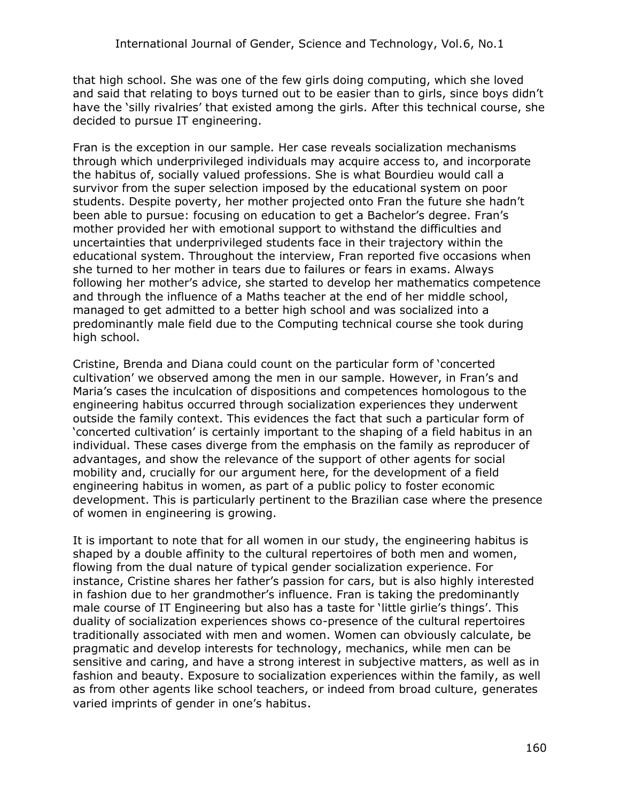that high school. She was one of the few girls doing computing, which she loved and said that relating to boys turned out to be easier than to girls, since boys didn't have the 'silly rivalries' that existed among the girls. After this technical course, she decided to pursue IT engineering.

Fran is the exception in our sample. Her case reveals socialization mechanisms through which underprivileged individuals may acquire access to, and incorporate the habitus of, socially valued professions. She is what Bourdieu would call a survivor from the super selection imposed by the educational system on poor students. Despite poverty, her mother projected onto Fran the future she hadn't been able to pursue: focusing on education to get a Bachelor's degree. Fran's mother provided her with emotional support to withstand the difficulties and uncertainties that underprivileged students face in their trajectory within the educational system. Throughout the interview, Fran reported five occasions when she turned to her mother in tears due to failures or fears in exams. Always following her mother's advice, she started to develop her mathematics competence and through the influence of a Maths teacher at the end of her middle school, managed to get admitted to a better high school and was socialized into a predominantly male field due to the Computing technical course she took during high school.

Cristine, Brenda and Diana could count on the particular form of 'concerted cultivation' we observed among the men in our sample. However, in Fran's and Maria's cases the inculcation of dispositions and competences homologous to the engineering habitus occurred through socialization experiences they underwent outside the family context. This evidences the fact that such a particular form of 'concerted cultivation' is certainly important to the shaping of a field habitus in an individual. These cases diverge from the emphasis on the family as reproducer of advantages, and show the relevance of the support of other agents for social mobility and, crucially for our argument here, for the development of a field engineering habitus in women, as part of a public policy to foster economic development. This is particularly pertinent to the Brazilian case where the presence of women in engineering is growing.

It is important to note that for all women in our study, the engineering habitus is shaped by a double affinity to the cultural repertoires of both men and women, flowing from the dual nature of typical gender socialization experience. For instance, Cristine shares her father's passion for cars, but is also highly interested in fashion due to her grandmother's influence. Fran is taking the predominantly male course of IT Engineering but also has a taste for 'little girlie's things'. This duality of socialization experiences shows co-presence of the cultural repertoires traditionally associated with men and women. Women can obviously calculate, be pragmatic and develop interests for technology, mechanics, while men can be sensitive and caring, and have a strong interest in subjective matters, as well as in fashion and beauty. Exposure to socialization experiences within the family, as well as from other agents like school teachers, or indeed from broad culture, generates varied imprints of gender in one's habitus.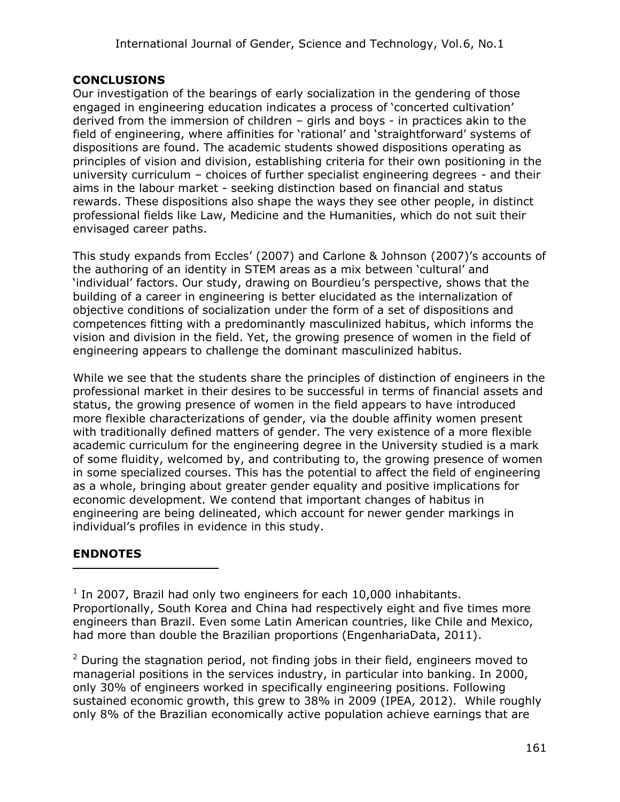### **CONCLUSIONS**

Our investigation of the bearings of early socialization in the gendering of those engaged in engineering education indicates a process of 'concerted cultivation' derived from the immersion of children – girls and boys - in practices akin to the field of engineering, where affinities for 'rational' and 'straightforward' systems of dispositions are found. The academic students showed dispositions operating as principles of vision and division, establishing criteria for their own positioning in the university curriculum – choices of further specialist engineering degrees - and their aims in the labour market - seeking distinction based on financial and status rewards. These dispositions also shape the ways they see other people, in distinct professional fields like Law, Medicine and the Humanities, which do not suit their envisaged career paths.

This study expands from Eccles' (2007) and Carlone & Johnson (2007)'s accounts of the authoring of an identity in STEM areas as a mix between 'cultural' and 'individual' factors. Our study, drawing on Bourdieu's perspective, shows that the building of a career in engineering is better elucidated as the internalization of objective conditions of socialization under the form of a set of dispositions and competences fitting with a predominantly masculinized habitus, which informs the vision and division in the field. Yet, the growing presence of women in the field of engineering appears to challenge the dominant masculinized habitus.

While we see that the students share the principles of distinction of engineers in the professional market in their desires to be successful in terms of financial assets and status, the growing presence of women in the field appears to have introduced more flexible characterizations of gender, via the double affinity women present with traditionally defined matters of gender. The very existence of a more flexible academic curriculum for the engineering degree in the University studied is a mark of some fluidity, welcomed by, and contributing to, the growing presence of women in some specialized courses. This has the potential to affect the field of engineering as a whole, bringing about greater gender equality and positive implications for economic development. We contend that important changes of habitus in engineering are being delineated, which account for newer gender markings in individual's profiles in evidence in this study.

## **ENDNOTES**

 $\overline{a}$ 

 $1$  In 2007, Brazil had only two engineers for each 10,000 inhabitants. Proportionally, South Korea and China had respectively eight and five times more engineers than Brazil. Even some Latin American countries, like Chile and Mexico, had more than double the Brazilian proportions (EngenhariaData, 2011).

 $2$  During the stagnation period, not finding jobs in their field, engineers moved to managerial positions in the services industry, in particular into banking. In 2000, only 30% of engineers worked in specifically engineering positions. Following sustained economic growth, this grew to 38% in 2009 (IPEA, 2012). While roughly only 8% of the Brazilian economically active population achieve earnings that are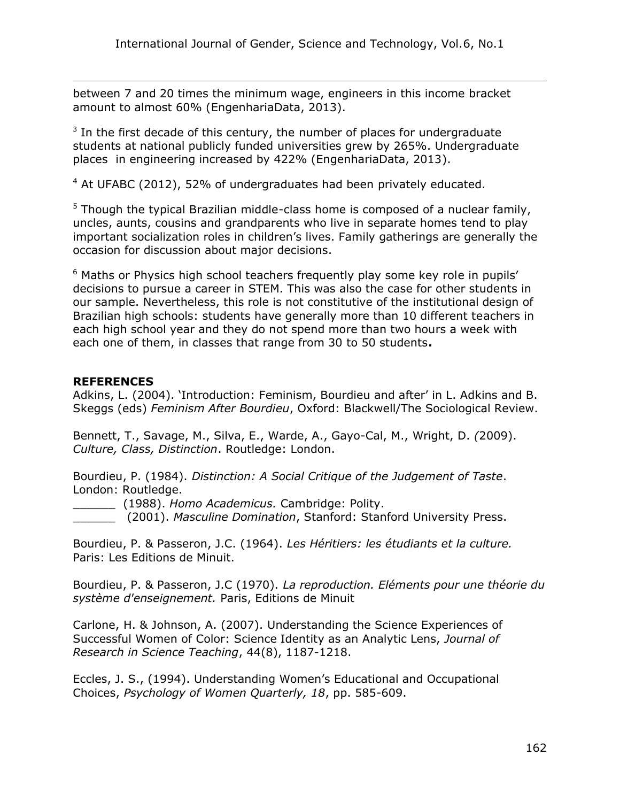between 7 and 20 times the minimum wage, engineers in this income bracket amount to almost 60% (EngenhariaData, 2013).

 $3$  In the first decade of this century, the number of places for undergraduate students at national publicly funded universities grew by 265%. Undergraduate places in engineering increased by 422% (EngenhariaData, 2013).

 $4$  At UFABC (2012), 52% of undergraduates had been privately educated.

 $<sup>5</sup>$  Though the typical Brazilian middle-class home is composed of a nuclear family,</sup> uncles, aunts, cousins and grandparents who live in separate homes tend to play important socialization roles in children's lives. Family gatherings are generally the occasion for discussion about major decisions.

 $<sup>6</sup>$  Maths or Physics high school teachers frequently play some key role in pupils'</sup> decisions to pursue a career in STEM. This was also the case for other students in our sample. Nevertheless, this role is not constitutive of the institutional design of Brazilian high schools: students have generally more than 10 different teachers in each high school year and they do not spend more than two hours a week with each one of them, in classes that range from 30 to 50 students**.**

#### **REFERENCES**

 $\overline{a}$ 

Adkins, L. (2004). 'Introduction: Feminism, Bourdieu and after' in L. Adkins and B. Skeggs (eds) *Feminism After Bourdieu*, Oxford: Blackwell/The Sociological Review.

Bennett, T., Savage, M., Silva, E., Warde, A., Gayo-Cal, M., Wright, D. *(*2009). *Culture, Class, Distinction*. Routledge: London.

Bourdieu, P. (1984). *Distinction: A Social Critique of the Judgement of Taste*. London: Routledge.

\_\_\_\_\_\_ (1988). *Homo Academicus.* Cambridge: Polity.

\_\_\_\_\_\_ (2001). *Masculine Domination*, Stanford: Stanford University Press.

Bourdieu, P. & Passeron, J.C. (1964). *Les Héritiers: les étudiants et la culture.* Paris: Les Editions de Minuit.

Bourdieu, P. & Passeron, J.C (1970). *La reproduction. Eléments pour une théorie du système d'enseignement.* Paris, Editions de Minuit

Carlone, H. & Johnson, A. (2007). Understanding the Science Experiences of Successful Women of Color: Science Identity as an Analytic Lens, *Journal of Research in Science Teaching*, 44(8), 1187-1218.

Eccles, J. S., (1994). Understanding Women's Educational and Occupational Choices, *Psychology of Women Quarterly, 18*, pp. 585-609.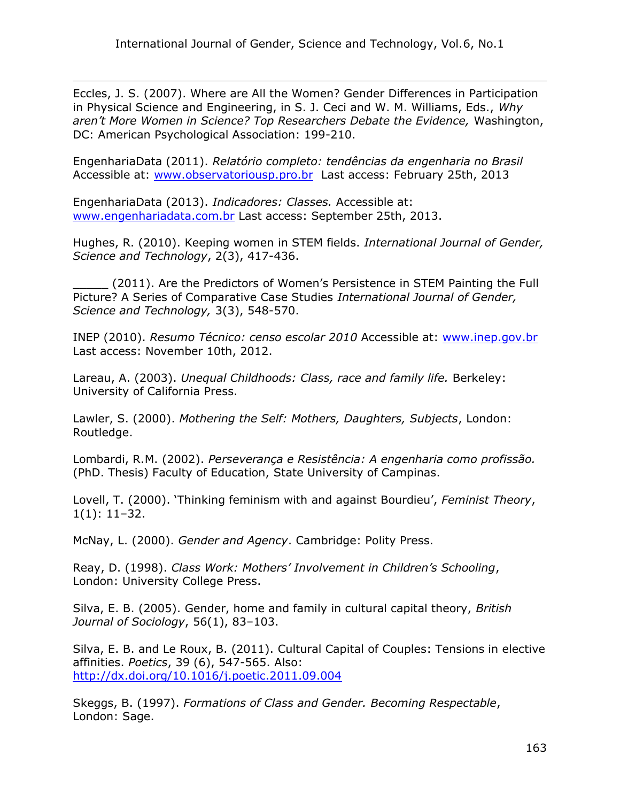Eccles, J. S. (2007). Where are All the Women? Gender Differences in Participation in Physical Science and Engineering, in S. J. Ceci and W. M. Williams, Eds., *Why aren't More Women in Science? Top Researchers Debate the Evidence,* Washington, DC: American Psychological Association: 199-210.

EngenhariaData (2011). *Relatório completo: tendências da engenharia no Brasil*  Accessible at: [www.observatoriousp.pro.br](http://www.observatoriousp.pro.br/) Last access: February 25th, 2013

EngenhariaData (2013). *Indicadores: Classes.* Accessible at: [www.engenhariadata.com.br](http://www.engenhariadata.com.br/) Last access: September 25th, 2013.

 $\overline{a}$ 

Hughes, R. (2010). Keeping women in STEM fields. *International Journal of Gender, Science and Technology*, 2(3), 417-436.

\_\_\_\_\_ (2011). Are the Predictors of Women's Persistence in STEM Painting the Full Picture? A Series of Comparative Case Studies *International Journal of Gender, Science and Technology,* 3(3), 548-570.

INEP (2010). *Resumo Técnico: censo escolar 2010* Accessible at: [www.inep.gov.br](http://www.inep.gov.br/)  Last access: November 10th, 2012.

Lareau, A. (2003). *Unequal Childhoods: Class, race and family life.* Berkeley: University of California Press.

Lawler, S. (2000). *Mothering the Self: Mothers, Daughters, Subjects*, London: Routledge.

Lombardi, R.M. (2002). *Perseverança e Resistência: A engenharia como profissão.*  (PhD. Thesis) Faculty of Education, State University of Campinas.

Lovell, T. (2000). 'Thinking feminism with and against Bourdieu', *Feminist Theory*, 1(1): 11–32.

McNay, L. (2000). *Gender and Agency*. Cambridge: Polity Press.

Reay, D. (1998). *Class Work: Mothers' Involvement in Children's Schooling*, London: University College Press.

Silva, E. B. (2005). Gender, home and family in cultural capital theory, *British Journal of Sociology*, 56(1), 83–103.

Silva, E. B. and Le Roux, B. (2011). Cultural Capital of Couples: Tensions in elective affinities. *Poetics*, 39 (6), 547-565. Also: <http://dx.doi.org/10.1016/j.poetic.2011.09.004>

Skeggs, B. (1997). *Formations of Class and Gender. Becoming Respectable*, London: Sage.